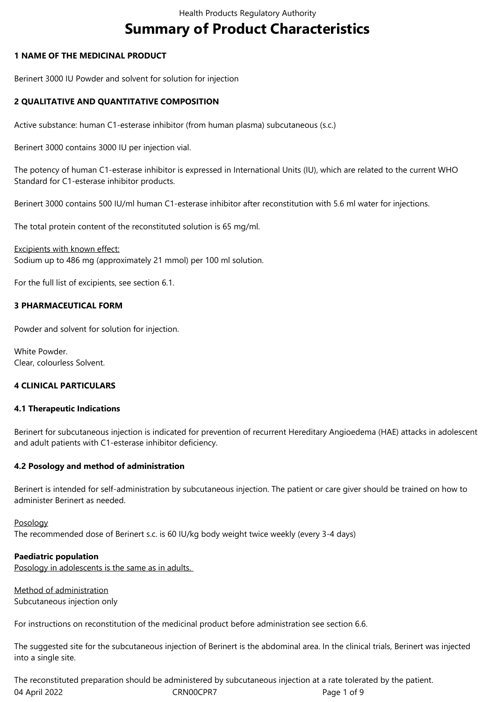# **Summary of Product Characteristics**

# **1 NAME OF THE MEDICINAL PRODUCT**

Berinert 3000 IU Powder and solvent for solution for injection

# **2 QUALITATIVE AND QUANTITATIVE COMPOSITION**

Active substance: human C1-esterase inhibitor (from human plasma) subcutaneous (s.c.)

Berinert 3000 contains 3000 IU per injection vial.

The potency of human C1-esterase inhibitor is expressed in International Units (IU), which are related to the current WHO Standard for C1-esterase inhibitor products.

Berinert 3000 contains 500 IU/ml human C1-esterase inhibitor after reconstitution with 5.6 ml water for injections.

The total protein content of the reconstituted solution is 65 mg/ml.

Excipients with known effect: Sodium up to 486 mg (approximately 21 mmol) per 100 ml solution.

For the full list of excipients, see section 6.1.

# **3 PHARMACEUTICAL FORM**

Powder and solvent for solution for injection.

White Powder. Clear, colourless Solvent.

# **4 CLINICAL PARTICULARS**

# **4.1 Therapeutic Indications**

Berinert for subcutaneous injection is indicated for prevention of recurrent Hereditary Angioedema (HAE) attacks in adolescent and adult patients with C1-esterase inhibitor deficiency.

# **4.2 Posology and method of administration**

Berinert is intended for self-administration by subcutaneous injection. The patient or care giver should be trained on how to administer Berinert as needed.

# Posology

The recommended dose of Berinert s.c. is 60 IU/kg body weight twice weekly (every 3-4 days)

# **Paediatric population**

Posology in adolescents is the same as in adults.

Method of administration Subcutaneous injection only

For instructions on reconstitution of the medicinal product before administration see section 6.6.

The suggested site for the subcutaneous injection of Berinert is the abdominal area. In the clinical trials, Berinert was injected into a single site.

04 April 2022 CRN00CPR7 CRNOCPR7 Page 1 of 9 The reconstituted preparation should be administered by subcutaneous injection at a rate tolerated by the patient.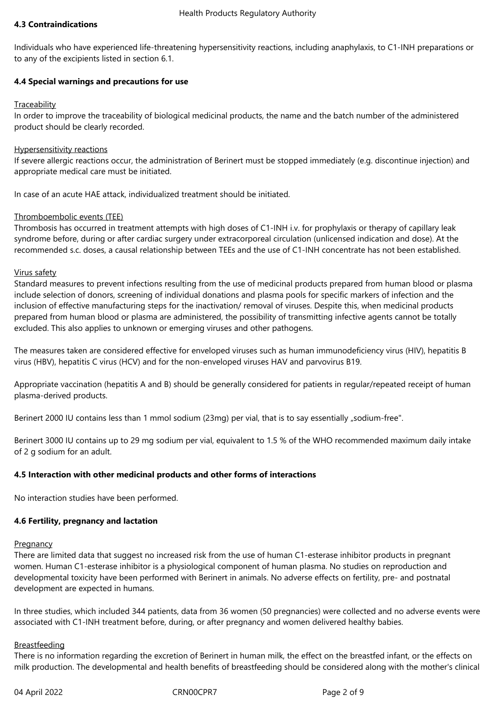# **4.3 Contraindications**

Individuals who have experienced life-threatening hypersensitivity reactions, including anaphylaxis, to C1-INH preparations or to any of the excipients listed in section 6.1.

# **4.4 Special warnings and precautions for use**

# **Traceability**

In order to improve the traceability of biological medicinal products, the name and the batch number of the administered product should be clearly recorded.

# Hypersensitivity reactions

If severe allergic reactions occur, the administration of Berinert must be stopped immediately (e.g. discontinue injection) and appropriate medical care must be initiated.

In case of an acute HAE attack, individualized treatment should be initiated.

# Thromboembolic events (TEE)

Thrombosis has occurred in treatment attempts with high doses of C1-INH i.v. for prophylaxis or therapy of capillary leak syndrome before, during or after cardiac surgery under extracorporeal circulation (unlicensed indication and dose). At the recommended s.c. doses, a causal relationship between TEEs and the use of C1-INH concentrate has not been established.

# Virus safety

Standard measures to prevent infections resulting from the use of medicinal products prepared from human blood or plasma include selection of donors, screening of individual donations and plasma pools for specific markers of infection and the inclusion of effective manufacturing steps for the inactivation/ removal of viruses. Despite this, when medicinal products prepared from human blood or plasma are administered, the possibility of transmitting infective agents cannot be totally excluded. This also applies to unknown or emerging viruses and other pathogens.

The measures taken are considered effective for enveloped viruses such as human immunodeficiency virus (HIV), hepatitis B virus (HBV), hepatitis C virus (HCV) and for the non-enveloped viruses HAV and parvovirus B19.

Appropriate vaccination (hepatitis A and B) should be generally considered for patients in regular/repeated receipt of human plasma-derived products.

Berinert 2000 IU contains less than 1 mmol sodium (23mg) per vial, that is to say essentially "sodium-free".

Berinert 3000 IU contains up to 29 mg sodium per vial, equivalent to 1.5 % of the WHO recommended maximum daily intake of 2 g sodium for an adult.

# **4.5 Interaction with other medicinal products and other forms of interactions**

No interaction studies have been performed.

# **4.6 Fertility, pregnancy and lactation**

# **Pregnancy**

There are limited data that suggest no increased risk from the use of human C1-esterase inhibitor products in pregnant women. Human C1-esterase inhibitor is a physiological component of human plasma. No studies on reproduction and developmental toxicity have been performed with Berinert in animals. No adverse effects on fertility, pre- and postnatal development are expected in humans.

In three studies, which included 344 patients, data from 36 women (50 pregnancies) were collected and no adverse events were associated with C1-INH treatment before, during, or after pregnancy and women delivered healthy babies.

# Breastfeeding

There is no information regarding the excretion of Berinert in human milk, the effect on the breastfed infant, or the effects on milk production. The developmental and health benefits of breastfeeding should be considered along with the mother's clinical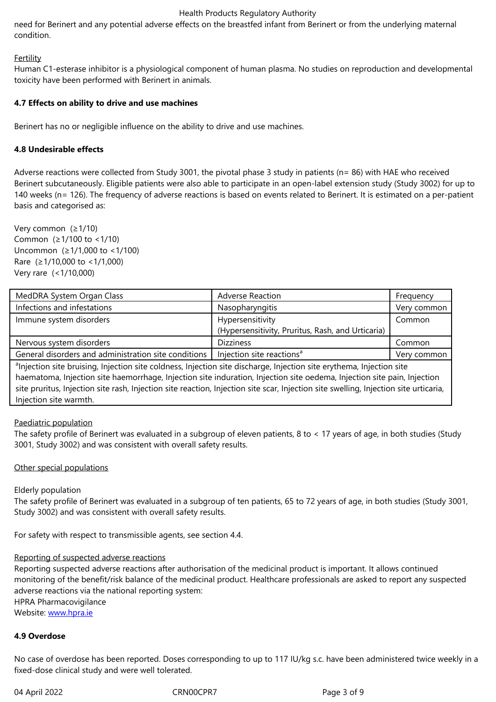# **Fertility**

Human C1-esterase inhibitor is a physiological component of human plasma. No studies on reproduction and developmental toxicity have been performed with Berinert in animals.

# **4.7 Effects on ability to drive and use machines**

Berinert has no or negligible influence on the ability to drive and use machines.

# **4.8 Undesirable effects**

Adverse reactions were collected from Study 3001, the pivotal phase 3 study in patients (n= 86) with HAE who received Berinert subcutaneously. Eligible patients were also able to participate in an open-label extension study (Study 3002) for up to 140 weeks (n= 126). The frequency of adverse reactions is based on events related to Berinert. It is estimated on a per-patient basis and categorised as:

Very common (≥1/10) Common (≥1/100 to <1/10) Uncommon (≥1/1,000 to <1/100) Rare (≥1/10,000 to <1/1,000) Very rare (<1/10,000)

| MedDRA System Organ Class                                                                                                        | <b>Adverse Reaction</b>                           | Frequency   |
|----------------------------------------------------------------------------------------------------------------------------------|---------------------------------------------------|-------------|
| Infections and infestations                                                                                                      | Nasopharyngitis                                   | Very common |
| Immune system disorders                                                                                                          | Hypersensitivity                                  | Common      |
|                                                                                                                                  | (Hypersensitivity, Pruritus, Rash, and Urticaria) |             |
| Nervous system disorders                                                                                                         | <b>Dizziness</b>                                  | Common      |
| General disorders and administration site conditions                                                                             | Injection site reactions <sup>a</sup>             | Very common |
| <sup>a</sup> lnjection site bruising, Injection site coldness, Injection site discharge, Injection site erythema, Injection site |                                                   |             |

haematoma, Injection site haemorrhage, Injection site induration, Injection site oedema, Injection site pain, Injection site pruritus, Injection site rash, Injection site reaction, Injection site scar, Injection site swelling, Injection site urticaria, Injection site warmth.

# Paediatric population

The safety profile of Berinert was evaluated in a subgroup of eleven patients, 8 to < 17 years of age, in both studies (Study 3001, Study 3002) and was consistent with overall safety results.

# Other special populations

# Elderly population

The safety profile of Berinert was evaluated in a subgroup of ten patients, 65 to 72 years of age, in both studies (Study 3001, Study 3002) and was consistent with overall safety results.

For safety with respect to transmissible agents, see section 4.4.

# Reporting of suspected adverse reactions

Reporting suspected adverse reactions after authorisation of the medicinal product is important. It allows continued monitoring of the benefit/risk balance of the medicinal product. Healthcare professionals are asked to report any suspected adverse reactions via the national reporting system: HPRA Pharmacovigilance

Website: www.hpra.ie

# **4.9 Overdose**

No case [of overdose h](http://www.hpra.ie/)as been reported. Doses corresponding to up to 117 IU/kg s.c. have been administered twice weekly in a fixed-dose clinical study and were well tolerated.

04 April 2022 CRN00CPR7 CRNOCPR7 Page 3 of 9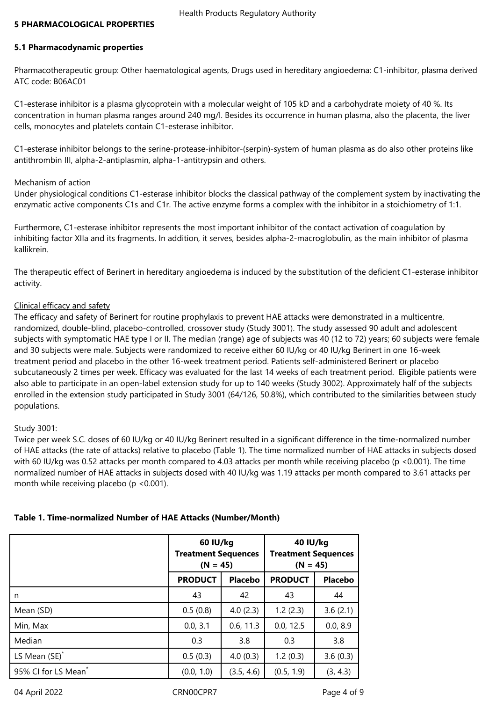## **5 PHARMACOLOGICAL PROPERTIES**

## **5.1 Pharmacodynamic properties**

Pharmacotherapeutic group: Other haematological agents, Drugs used in hereditary angioedema: C1-inhibitor, plasma derived ATC code: B06AC01

C1-esterase inhibitor is a plasma glycoprotein with a molecular weight of 105 kD and a carbohydrate moiety of 40 %. Its concentration in human plasma ranges around 240 mg/l. Besides its occurrence in human plasma, also the placenta, the liver cells, monocytes and platelets contain C1-esterase inhibitor.

C1-esterase inhibitor belongs to the serine-protease-inhibitor-(serpin)-system of human plasma as do also other proteins like antithrombin III, alpha-2-antiplasmin, alpha-1-antitrypsin and others.

#### Mechanism of action

Under physiological conditions C1-esterase inhibitor blocks the classical pathway of the complement system by inactivating the enzymatic active components C1s and C1r. The active enzyme forms a complex with the inhibitor in a stoichiometry of 1:1.

Furthermore, C1-esterase inhibitor represents the most important inhibitor of the contact activation of coagulation by inhibiting factor XIIa and its fragments. In addition, it serves, besides alpha-2-macroglobulin, as the main inhibitor of plasma kallikrein.

The therapeutic effect of Berinert in hereditary angioedema is induced by the substitution of the deficient C1-esterase inhibitor activity.

#### Clinical efficacy and safety

The efficacy and safety of Berinert for routine prophylaxis to prevent HAE attacks were demonstrated in a multicentre, randomized, double-blind, placebo-controlled, crossover study (Study 3001). The study assessed 90 adult and adolescent subjects with symptomatic HAE type I or II. The median (range) age of subjects was 40 (12 to 72) years; 60 subjects were female and 30 subjects were male. Subjects were randomized to receive either 60 IU/kg or 40 IU/kg Berinert in one 16-week treatment period and placebo in the other 16‑week treatment period. Patients self‑administered Berinert or placebo subcutaneously 2 times per week. Efficacy was evaluated for the last 14 weeks of each treatment period. Eligible patients were also able to participate in an open-label extension study for up to 140 weeks (Study 3002). Approximately half of the subjects enrolled in the extension study participated in Study 3001 (64/126, 50.8%), which contributed to the similarities between study populations.

#### Study 3001:

Twice per week S.C. doses of 60 IU/kg or 40 IU/kg Berinert resulted in a significant difference in the time-normalized number of HAE attacks (the rate of attacks) relative to placebo (Table 1). The time normalized number of HAE attacks in subjects dosed with 60 IU/kg was 0.52 attacks per month compared to 4.03 attacks per month while receiving placebo (p <0.001). The time normalized number of HAE attacks in subjects dosed with 40 IU/kg was 1.19 attacks per month compared to 3.61 attacks per month while receiving placebo (p <0.001).

|                                 | 60 IU/kg<br><b>Treatment Sequences</b><br>$(N = 45)$ |            | 40 IU/kg<br><b>Treatment Sequences</b><br>$(N = 45)$ |                |
|---------------------------------|------------------------------------------------------|------------|------------------------------------------------------|----------------|
|                                 | <b>PRODUCT</b>                                       | Placebo    | <b>PRODUCT</b>                                       | <b>Placebo</b> |
| n                               | 43                                                   | 42         | 43                                                   | 44             |
| Mean (SD)                       | 0.5(0.8)                                             | 4.0(2.3)   | 1.2(2.3)                                             | 3.6(2.1)       |
| Min, Max                        | 0.0, 3.1                                             | 0.6, 11.3  | 0.0, 12.5                                            | 0.0, 8.9       |
| Median                          | 0.3                                                  | 3.8        | 0.3                                                  | 3.8            |
| LS Mean (SE) <sup>*</sup>       | 0.5(0.3)                                             | 4.0(0.3)   | 1.2(0.3)                                             | 3.6(0.3)       |
| 95% CI for LS Mean <sup>*</sup> | (0.0, 1.0)                                           | (3.5, 4.6) | (0.5, 1.9)                                           | (3, 4.3)       |

# **Table 1. Time‑normalized Number of HAE Attacks (Number/Month)**

04 April 2022 CRN00CPR7 CRNO0CPR7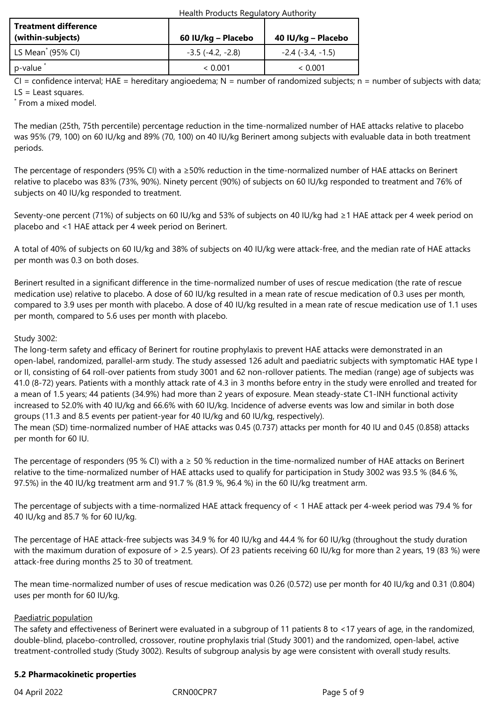| Health Products Regulatory Authority |  |
|--------------------------------------|--|
|--------------------------------------|--|

| <b>Treatment difference</b><br>(within-subjects) | 60 IU/kg – Placebo         | 40 IU/kg – Placebo  |
|--------------------------------------------------|----------------------------|---------------------|
| $\vert$ LS Mean <sup>*</sup> (95% CI)            | $-3.5$ ( $-4.2$ , $-2.8$ ) | $-2.4$ (-3.4, -1.5) |
| p-value                                          | ~< 0.001                   | ~< 0.001            |

 $CI =$  confidence interval; HAE = hereditary angioedema; N = number of randomized subjects; n = number of subjects with data; LS = Least squares.

\* From a mixed model.

The median (25th, 75th percentile) percentage reduction in the time‑normalized number of HAE attacks relative to placebo was 95% (79, 100) on 60 IU/kg and 89% (70, 100) on 40 IU/kg Berinert among subjects with evaluable data in both treatment periods.

The percentage of responders (95% CI) with a ≥50% reduction in the time-normalized number of HAE attacks on Berinert relative to placebo was 83% (73%, 90%). Ninety percent (90%) of subjects on 60 IU/kg responded to treatment and 76% of subjects on 40 IU/kg responded to treatment.

Seventy-one percent (71%) of subjects on 60 IU/kg and 53% of subjects on 40 IU/kg had ≥1 HAE attack per 4 week period on placebo and <1 HAE attack per 4 week period on Berinert.

A total of 40% of subjects on 60 IU/kg and 38% of subjects on 40 IU/kg were attack-free, and the median rate of HAE attacks per month was 0.3 on both doses.

Berinert resulted in a significant difference in the time‑normalized number of uses of rescue medication (the rate of rescue medication use) relative to placebo. A dose of 60 IU/kg resulted in a mean rate of rescue medication of 0.3 uses per month, compared to 3.9 uses per month with placebo. A dose of 40 IU/kg resulted in a mean rate of rescue medication use of 1.1 uses per month, compared to 5.6 uses per month with placebo.

# Study 3002:

The long-term safety and efficacy of Berinert for routine prophylaxis to prevent HAE attacks were demonstrated in an open-label, randomized, parallel-arm study. The study assessed 126 adult and paediatric subjects with symptomatic HAE type I or II, consisting of 64 roll-over patients from study 3001 and 62 non-rollover patients. The median (range) age of subjects was 41.0 (8-72) years. Patients with a monthly attack rate of 4.3 in 3 months before entry in the study were enrolled and treated for a mean of 1.5 years; 44 patients (34.9%) had more than 2 years of exposure. Mean steady-state C1-INH functional activity increased to 52.0% with 40 IU/kg and 66.6% with 60 IU/kg. Incidence of adverse events was low and similar in both dose groups (11.3 and 8.5 events per patient-year for 40 IU/kg and 60 IU/kg, respectively).

The mean (SD) time-normalized number of HAE attacks was 0.45 (0.737) attacks per month for 40 IU and 0.45 (0.858) attacks per month for 60 IU.

The percentage of responders (95 % CI) with a  $\geq$  50 % reduction in the time-normalized number of HAE attacks on Berinert relative to the time-normalized number of HAE attacks used to qualify for participation in Study 3002 was 93.5 % (84.6 %, 97.5%) in the 40 IU/kg treatment arm and 91.7 % (81.9 %, 96.4 %) in the 60 IU/kg treatment arm.

The percentage of subjects with a time-normalized HAE attack frequency of < 1 HAE attack per 4-week period was 79.4 % for 40 IU/kg and 85.7 % for 60 IU/kg.

The percentage of HAE attack-free subjects was 34.9 % for 40 IU/kg and 44.4 % for 60 IU/kg (throughout the study duration with the maximum duration of exposure of > 2.5 years). Of 23 patients receiving 60 IU/kg for more than 2 years, 19 (83 %) were attack-free during months 25 to 30 of treatment.

The mean time-normalized number of uses of rescue medication was 0.26 (0.572) use per month for 40 IU/kg and 0.31 (0.804) uses per month for 60 IU/kg.

# Paediatric population

The safety and effectiveness of Berinert were evaluated in a subgroup of 11 patients 8 to <17 years of age, in the randomized, double-blind, placebo-controlled, crossover, routine prophylaxis trial (Study 3001) and the randomized, open-label, active treatment-controlled study (Study 3002). Results of subgroup analysis by age were consistent with overall study results.

# **5.2 Pharmacokinetic properties**

04 April 2022 CRN00CPR7 CRNO2CPR7 Page 5 of 9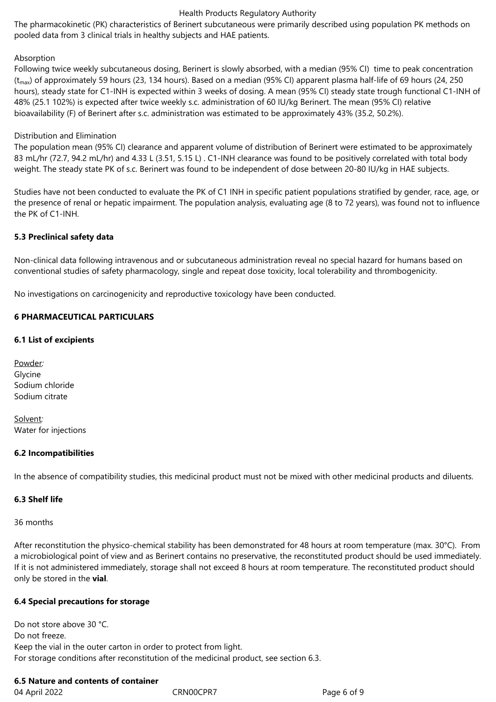## Health Products Regulatory Authority

The pharmacokinetic (PK) characteristics of Berinert subcutaneous were primarily described using population PK methods on pooled data from 3 clinical trials in healthy subjects and HAE patients.

# Absorption

Following twice weekly subcutaneous dosing, Berinert is slowly absorbed, with a median (95% CI) time to peak concentration  $(t_{\text{max}})$  of approximately 59 hours (23, 134 hours). Based on a median (95% CI) apparent plasma half-life of 69 hours (24, 250 hours), steady state for C1-INH is expected within 3 weeks of dosing. A mean (95% CI) steady state trough functional C1-INH of 48% (25.1 102%) is expected after twice weekly s.c. administration of 60 IU/kg Berinert. The mean (95% CI) relative bioavailability (F) of Berinert after s.c. administration was estimated to be approximately 43% (35.2, 50.2%).

# Distribution and Elimination

The population mean (95% CI) clearance and apparent volume of distribution of Berinert were estimated to be approximately 83 mL/hr (72.7, 94.2 mL/hr) and 4.33 L (3.51, 5.15 L) . C1-INH clearance was found to be positively correlated with total body weight. The steady state PK of s.c. Berinert was found to be independent of dose between 20-80 IU/kg in HAE subjects.

Studies have not been conducted to evaluate the PK of C1 INH in specific patient populations stratified by gender, race, age, or the presence of renal or hepatic impairment. The population analysis, evaluating age (8 to 72 years), was found not to influence the PK of C1-INH.

# **5.3 Preclinical safety data**

Non-clinical data following intravenous and or subcutaneous administration reveal no special hazard for humans based on conventional studies of safety pharmacology, single and repeat dose toxicity, local tolerability and thrombogenicity.

No investigations on carcinogenicity and reproductive toxicology have been conducted.

# **6 PHARMACEUTICAL PARTICULARS**

# **6.1 List of excipients**

Powder*:* Glycine Sodium chloride Sodium citrate

Solvent*:* Water for injections

# **6.2 Incompatibilities**

In the absence of compatibility studies, this medicinal product must not be mixed with other medicinal products and diluents.

# **6.3 Shelf life**

36 months

After reconstitution the physico-chemical stability has been demonstrated for 48 hours at room temperature (max. 30°C). From a microbiological point of view and as Berinert contains no preservative, the reconstituted product should be used immediately. If it is not administered immediately, storage shall not exceed 8 hours at room temperature. The reconstituted product should only be stored in the **vial**.

# **6.4 Special precautions for storage**

Do not store above 30 °C. Do not freeze. Keep the vial in the outer carton in order to protect from light. For storage conditions after reconstitution of the medicinal product, see section 6.3.

# **6.5 Nature and contents of container**

04 April 2022 CRN00CPR7 Page 6 of 9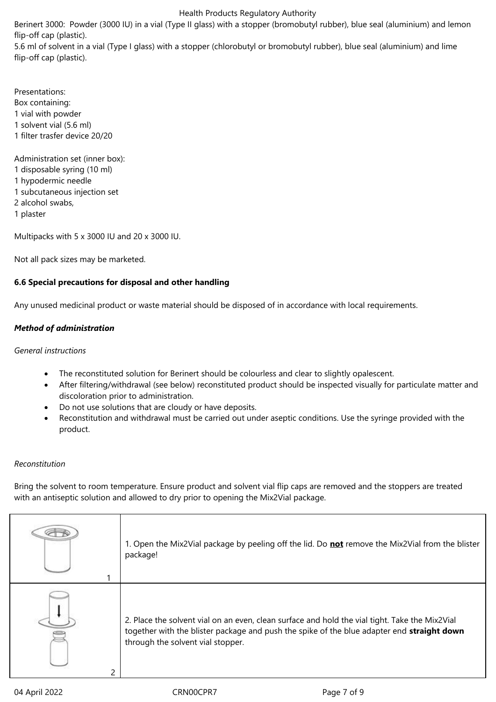#### Health Products Regulatory Authority

Berinert 3000: Powder (3000 IU) in a vial (Type II glass) with a stopper (bromobutyl rubber), blue seal (aluminium) and lemon flip-off cap (plastic).

5.6 ml of solvent in a vial (Type I glass) with a stopper (chlorobutyl or bromobutyl rubber), blue seal (aluminium) and lime flip-off cap (plastic).

Presentations: Box containing: 1 vial with powder 1 solvent vial (5.6 ml) 1 filter trasfer device 20/20

Administration set (inner box): 1 disposable syring (10 ml) 1 hypodermic needle 1 subcutaneous injection set 2 alcohol swabs, 1 plaster

Multipacks with 5 x 3000 IU and 20 x 3000 IU.

Not all pack sizes may be marketed.

# **6.6 Special precautions for disposal and other handling**

Any unused medicinal product or waste material should be disposed of in accordance with local requirements.

# *Method of administration*

*General instructions*

- The reconstituted solution for Berinert should be colourless and clear to slightly opalescent.
- After filtering/withdrawal (see below) reconstituted product should be inspected visually for particulate matter and discoloration prior to administration.
- Do not use solutions that are cloudy or have deposits.
- Reconstitution and withdrawal must be carried out under aseptic conditions. Use the syringe provided with the product.

# *Reconstitution*

Bring the solvent to room temperature. Ensure product and solvent vial flip caps are removed and the stoppers are treated with an antiseptic solution and allowed to dry prior to opening the Mix2Vial package.

|               | 1. Open the Mix2Vial package by peeling off the lid. Do not remove the Mix2Vial from the blister<br>package!                                                                                                                      |
|---------------|-----------------------------------------------------------------------------------------------------------------------------------------------------------------------------------------------------------------------------------|
| $\mathcal{P}$ | 2. Place the solvent vial on an even, clean surface and hold the vial tight. Take the Mix2Vial<br>together with the blister package and push the spike of the blue adapter end straight down<br>through the solvent vial stopper. |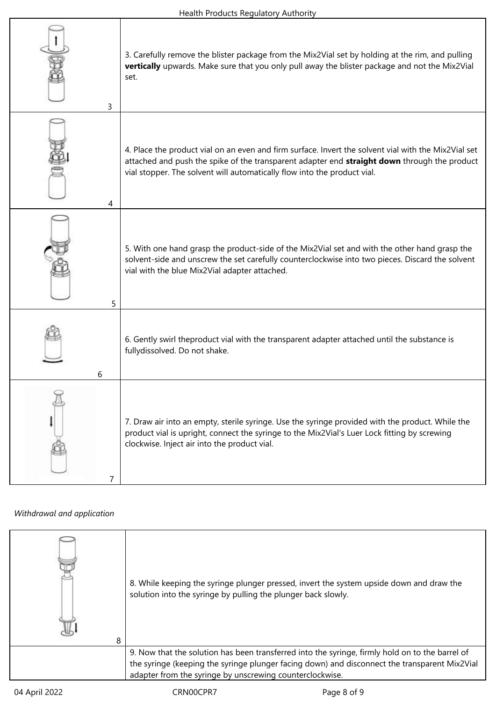٦

| 3 | 3. Carefully remove the blister package from the Mix2Vial set by holding at the rim, and pulling<br>vertically upwards. Make sure that you only pull away the blister package and not the Mix2Vial<br>set.                                                                       |
|---|----------------------------------------------------------------------------------------------------------------------------------------------------------------------------------------------------------------------------------------------------------------------------------|
| 4 | 4. Place the product vial on an even and firm surface. Invert the solvent vial with the Mix2Vial set<br>attached and push the spike of the transparent adapter end straight down through the product<br>vial stopper. The solvent will automatically flow into the product vial. |
| 5 | 5. With one hand grasp the product-side of the Mix2Vial set and with the other hand grasp the<br>solvent-side and unscrew the set carefully counterclockwise into two pieces. Discard the solvent<br>vial with the blue Mix2Vial adapter attached.                               |
| 6 | 6. Gently swirl theproduct vial with the transparent adapter attached until the substance is<br>fullydissolved. Do not shake.                                                                                                                                                    |
| 7 | 7. Draw air into an empty, sterile syringe. Use the syringe provided with the product. While the<br>product vial is upright, connect the syringe to the Mix2Vial's Luer Lock fitting by screwing<br>clockwise. Inject air into the product vial.                                 |

# *Withdrawal and application*

| 8 | 8. While keeping the syringe plunger pressed, invert the system upside down and draw the<br>solution into the syringe by pulling the plunger back slowly.                                                                                                    |
|---|--------------------------------------------------------------------------------------------------------------------------------------------------------------------------------------------------------------------------------------------------------------|
|   | 9. Now that the solution has been transferred into the syringe, firmly hold on to the barrel of<br>the syringe (keeping the syringe plunger facing down) and disconnect the transparent Mix2Vial<br>adapter from the syringe by unscrewing counterclockwise. |